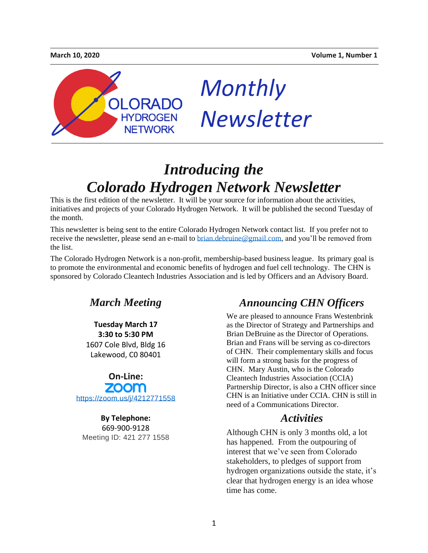

# *Monthly Newsletter*

## *Introducing the Colorado Hydrogen Network Newsletter*

This is the first edition of the newsletter. It will be your source for information about the activities, initiatives and projects of your Colorado Hydrogen Network. It will be published the second Tuesday of the month.

This newsletter is being sent to the entire Colorado Hydrogen Network contact list. If you prefer not to receive the newsletter, please send an e-mail to [brian.debruine@gmail.com,](mailto:brian.debruine@gmail.com) and you'll be removed from the list.

The Colorado Hydrogen Network is a non-profit, membership-based business league. Its primary goal is to promote the environmental and economic benefits of hydrogen and fuel cell technology. The CHN is sponsored by Colorado Cleantech Industries Association and is led by Officers and an Advisory Board.



**Tuesday March 17 3:30 to 5:30 PM** 1607 Cole Blvd, Bldg 16 Lakewood, C0 80401



**By Telephone:** 669-900-9128 Meeting ID: 421 277 1558

### *Announcing CHN Officers*

We are pleased to announce Frans Westenbrink as the Director of Strategy and Partnerships and Brian DeBruine as the Director of Operations. Brian and Frans will be serving as co-directors of CHN. Their complementary skills and focus will form a strong basis for the progress of CHN. Mary Austin, who is the Colorado Cleantech Industries Association (CCIA) Partnership Director, is also a CHN officer since CHN is an Initiative under CCIA. CHN is still in need of a Communications Director.

#### *Activities*

Although CHN is only 3 months old, a lot has happened. From the outpouring of interest that we've seen from Colorado stakeholders, to pledges of support from hydrogen organizations outside the state, it's clear that hydrogen energy is an idea whose time has come.